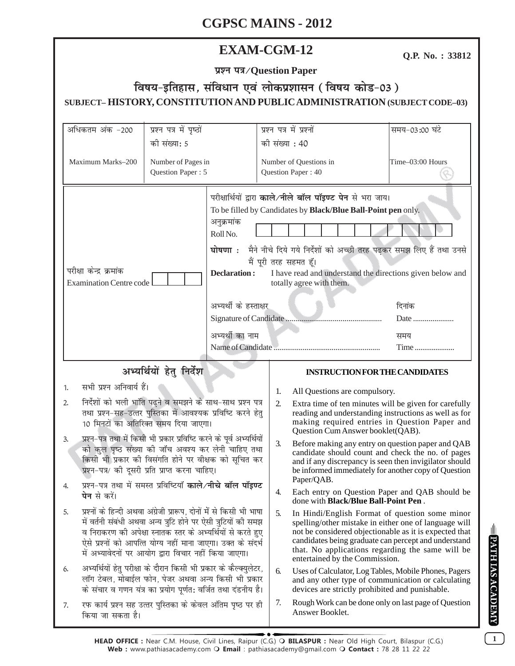# **EXAM-CGM-12**

Q.P. No.: 33812

प्रश्न पत्र/Question Paper

# विषय-इतिहास, संविधान एवं लोकप्रशासन (विषय कोड-03) SUBJECT-HISTORY, CONSTITUTION AND PUBLIC ADMINISTRATION (SUBJECT CODE-03)

| अधिकतम अंक -200                                                                                                                                                                                                                                                                                                                             | प्रश्न पत्र में पृष्ठों |                                                                                                                                                                                                                                                                                                                                                                                                                                                                        | प्रश्न पत्र में प्रश्नों |                                                                                                                                                                                                                                                                                                                 | समय-03:00 घंटे   |  |
|---------------------------------------------------------------------------------------------------------------------------------------------------------------------------------------------------------------------------------------------------------------------------------------------------------------------------------------------|-------------------------|------------------------------------------------------------------------------------------------------------------------------------------------------------------------------------------------------------------------------------------------------------------------------------------------------------------------------------------------------------------------------------------------------------------------------------------------------------------------|--------------------------|-----------------------------------------------------------------------------------------------------------------------------------------------------------------------------------------------------------------------------------------------------------------------------------------------------------------|------------------|--|
| की संख्या: 5                                                                                                                                                                                                                                                                                                                                |                         |                                                                                                                                                                                                                                                                                                                                                                                                                                                                        | की संख्या : 40           |                                                                                                                                                                                                                                                                                                                 |                  |  |
| Maximum Marks-200<br>Number of Pages in                                                                                                                                                                                                                                                                                                     |                         |                                                                                                                                                                                                                                                                                                                                                                                                                                                                        |                          | Number of Questions in                                                                                                                                                                                                                                                                                          | Time-03:00 Hours |  |
|                                                                                                                                                                                                                                                                                                                                             | Question Paper: 5       |                                                                                                                                                                                                                                                                                                                                                                                                                                                                        |                          | Question Paper: 40                                                                                                                                                                                                                                                                                              |                  |  |
| परीक्षा केन्द्र क्रमांक<br><b>Examination Centre code</b>                                                                                                                                                                                                                                                                                   |                         | परीक्षार्थियों द्वारा काले/नीले बॉल पॉइण्ट पेन से भरा जाय।<br>To be filled by Candidates by Black/Blue Ball-Point pen only.<br>अनुक्रमांक<br>Roll No.<br>मैने नीचे दिये गये निर्देशों को अच्छी तरह पढ़कर समझ लिए हैं तथा उनसे<br>घोषणा <b>ः</b><br>मैं पूरी तरह सहमत हूँ।<br><b>Declaration:</b><br>I have read and understand the directions given below and<br>totally agree with them.<br>अभ्यर्थी के हस्ताक्षर<br>दिनांक<br>Date<br>अभ्यर्थी का नाम<br>समय<br>Time |                          |                                                                                                                                                                                                                                                                                                                 |                  |  |
| अभ्यर्थियों हेतु निर्देश                                                                                                                                                                                                                                                                                                                    |                         |                                                                                                                                                                                                                                                                                                                                                                                                                                                                        |                          | <b>INSTRUCTION FOR THE CANDIDATES</b>                                                                                                                                                                                                                                                                           |                  |  |
| सभी प्रश्न अनिवार्य हैं।<br>1.                                                                                                                                                                                                                                                                                                              |                         |                                                                                                                                                                                                                                                                                                                                                                                                                                                                        |                          |                                                                                                                                                                                                                                                                                                                 |                  |  |
| निर्देशों को भली भांति पढ़ने व समझने के साथ-साथ प्रश्न पत्र<br>2.                                                                                                                                                                                                                                                                           |                         |                                                                                                                                                                                                                                                                                                                                                                                                                                                                        | 1.<br>2.                 | All Questions are compulsory.<br>Extra time of ten minutes will be given for carefully                                                                                                                                                                                                                          |                  |  |
| तथा प्रश्न-सह-उत्तर पुस्तिका में आवश्यक प्रविष्टि करने हेतु<br>10 मिनटों का अतिरिक्त समय दिया जाएगा।                                                                                                                                                                                                                                        |                         |                                                                                                                                                                                                                                                                                                                                                                                                                                                                        |                          | reading and understanding instructions as well as for<br>making required entries in Question Paper and<br>Question Cum Answer booklet(QAB).                                                                                                                                                                     |                  |  |
| प्रश्न–पत्र तथा में किसी भी प्रकार प्रविष्टि करने के पूर्व अभ्यर्थियों<br>3.<br>को कुल पृष्ठ संख्या की जाँच अवश्य कर लेनी चाहिए तथा<br>किसी भी प्रकार की विसंगति होने पर वीक्षक को सूचित कर<br>प्रश्न-पत्र/ की दूसरी प्रति प्राप्त करना चाहिए।<br>प्रश्न-पत्र तथा में समस्त प्रविष्टियाँ <b>काले/नीचे बॉल पॉइण्ट</b><br><b>पेन</b> से करें। |                         |                                                                                                                                                                                                                                                                                                                                                                                                                                                                        | 3.                       | Before making any entry on question paper and QAB<br>candidate should count and check the no. of pages<br>and if any discrepancy is seen then invigilator should<br>be informed immediately for another copy of Question<br>Paper/QAB.                                                                          |                  |  |
|                                                                                                                                                                                                                                                                                                                                             |                         |                                                                                                                                                                                                                                                                                                                                                                                                                                                                        | 4.                       | Each entry on Question Paper and QAB should be<br>done with <b>Black/Blue Ball-Point Pen</b> .                                                                                                                                                                                                                  |                  |  |
| प्रश्नों के हिन्दी अथवा अंग्रेजी प्रारूप, दोनों में से किसी भी भाषा<br>5.<br>में वर्तनी संबंधी अथवा अन्य त्रुटि होने पर ऐसी त्रुटियों की समझ<br>व निराकरण की अपेक्षा स्नातक स्तर के अभ्यर्थियों से करते हुए<br>ऐसे प्रश्नों को आपत्ति योग्य नहीं माना जाएगा। उक्त के संदर्भ<br>में अभ्यावेदनों पर आयोग द्वारा विचार नहीं किया जाएगा।        |                         |                                                                                                                                                                                                                                                                                                                                                                                                                                                                        | 5.                       | In Hindi/English Format of question some minor<br>spelling/other mistake in either one of language will<br>not be considered objectionable as it is expected that<br>candidates being graduate can percept and understand<br>that. No applications regarding the same will be<br>entertained by the Commission. |                  |  |
| अभ्यर्थियों हेतु परीक्षा के दौरान किसी भी प्रकार के कैल्क्युलेटर,<br>6.<br>लॉग टेबल, मोबाईल फोन, पेजर अथवा अन्य किसी भी प्रकार<br>के संचार व गणन यंत्र का प्रयोग पूर्णत: वर्जित तथा दंडनीय है।                                                                                                                                              |                         |                                                                                                                                                                                                                                                                                                                                                                                                                                                                        | 6.                       | Uses of Calculator, Log Tables, Mobile Phones, Pagers<br>and any other type of communication or calculating<br>devices are strictly prohibited and punishable.                                                                                                                                                  |                  |  |
| रफ कार्य प्रश्न सह उत्तर पुस्तिका के केवल अंतिम पृष्ठ पर ही<br>7.<br>किया जा सकता है।                                                                                                                                                                                                                                                       |                         |                                                                                                                                                                                                                                                                                                                                                                                                                                                                        | 7.                       | Rough Work can be done only on last page of Question<br>Answer Booklet.                                                                                                                                                                                                                                         |                  |  |

 $\overline{1}$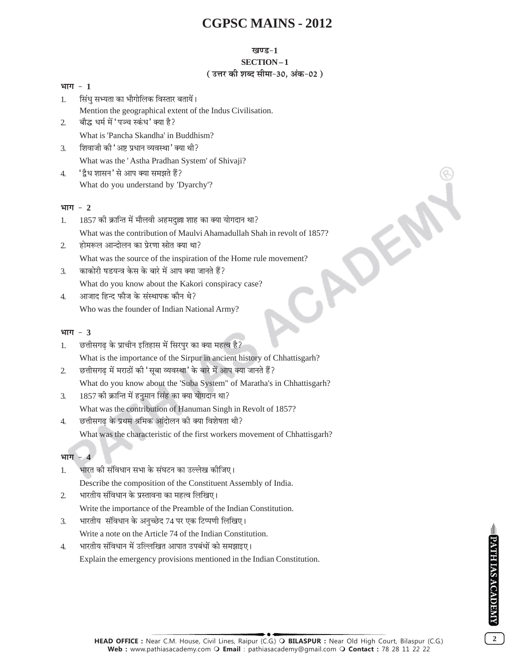#### खण्ड-1

### SECTION-1

### (उत्तर की शब्द सीमा-30, अंक-02)

# भाग $-1$

सिंध सभ्यता का भौगोलिक विस्तार बतायें।  $\mathbf{1}$ . Mention the geographical extent of the Indus Civilisation. बौद्ध धर्म में 'पञ्च स्कंध' क्या है?  $\mathcal{L}$ 

What is 'Pancha Skandha' in Buddhism?

- शिवाजी की 'अष्ट प्रधान व्यवस्था' क्या थी? 3. What was the 'Astha Pradhan System' of Shivaji?
- 'द्वैध शासन' से आप क्या समझते हैं?  $\overline{4}$ . What do you understand by 'Dyarchy'?

# भाग  $-2$

- 1857 की क्रान्ति में मौलवी अहमदल्ला शाह का क्या योगदान था?  $\mathbf{1}$ . What was the contribution of Maulyi Ahamadullah Shah in revolt of 1857? होमरूल आन्दोलन का प्रेरणा स्रोत क्या था?
- $\mathfrak{L}$ What was the source of the inspiration of the Home rule movement?
- काकोरी षडयन्त्र केस के बारे में आप क्या जानते हैं?  $\mathcal{F}$ What do you know about the Kakori conspiracy case?
- आजाद हिन्द फौज के संस्थापक कौन थे?  $\overline{4}$ . Who was the founder of Indian National Army?

# भाग  $-3$

छत्तीसगढ के प्राचीन इतिहास में सिरपुर का क्या महत्व है?  $1<sub>1</sub>$ What is the importance of the Sirpur in ancient history of Chhattisgarh? छत्तीसगढ में मराठों की 'सुबा व्यवस्था' के बारे में आप क्या जानते हैं?  $\overline{2}$ 

What do you know about the 'Suba System" of Maratha's in Chhattisgarh?

- 1857 की क्रान्ति में हनुमान सिंह का क्या योगदान था?  $\mathcal{F}$ What was the contribution of Hanuman Singh in Revolt of 1857?
- छत्तीसगढ़ के प्रथम श्रमिक आंदोलन की क्या विशेषता थी?  $\overline{4}$ . What was the characteristic of the first workers movement of Chhattisgarh?

# भाग  $-4$

- भारत की संविधान सभा के संघटन का उल्लेख कीजिए। 1. Describe the composition of the Constituent Assembly of India.
- भारतीय संविधान के प्रस्तावना का महत्व लिखिए।  $\mathcal{D}_{\alpha}$ Write the importance of the Preamble of the Indian Constitution.
- भारतीय संविधान के अनुच्छेद 74 पर एक टिप्पणी लिखिए। 3.

Write a note on the Article 74 of the Indian Constitution.

भारतीय संविधान में उल्लिखित आपात उपबंधों को समझाइए।  $\overline{4}$ . Explain the emergency provisions mentioned in the Indian Constitution.

 $\overline{2}$ 

HEAD OFFICE: Near C.M. House, Civil Lines, Raipur (C.G.) O BILASPUR : Near Old High Court, Bilaspur (C.G.) Web: www.pathiasacademy.com O Email: pathiasacademy@gmail.com O Contact: 78 28 11 22 22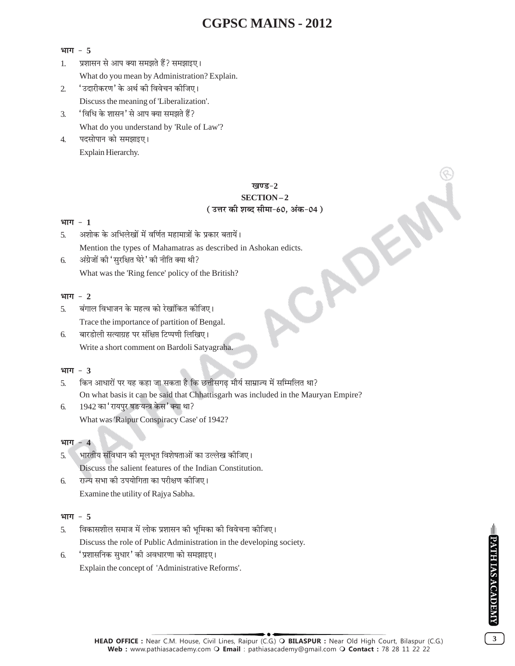### भाग  $-5$

- प्रशासन से आप क्या समझते हैं? समझाइए।  $1<sub>1</sub>$ What do you mean by Administration? Explain.
- 'उदारीकरण' के अर्थ की विवेचन कीजिए।  $\overline{2}$ Discuss the meaning of 'Liberalization'.
- 'विधि के शासन' से आप क्या समझते हैं?  $\mathcal{F}$ What do you understand by 'Rule of Law'?
- पदसोपान को समझाइए।  $\overline{4}$ . Explain Hierarchy.

# खण्ड-2 SECTION-2 (उत्तर की शब्द सीमा-60, अंक-04)

# भाग  $-1$

- अशोक के अभिलेखों में वर्णित महामात्रों के प्रकार बतायें।  $\overline{\mathbf{5}}$ Mention the types of Mahamatras as described in Ashokan edicts.
- अंग्रेजों की 'सुरक्षित घेरे ' की नीति क्या थी? 6. What was the 'Ring fence' policy of the British?

# भाग  $-2$

- बंगाल विभाजन के महत्व को रेखांकित कीजिए।  $\overline{5}$ . Trace the importance of partition of Bengal.
- बारडोली सत्याग्रह पर संक्षिप्त टिप्पणी लिखिए। 6. Write a short comment on Bardoli Satyagraha.

# भाग  $-3$

- किन आधारों पर यह कहा जा सकता है कि छत्तीसगढ मौर्य साम्राज्य में सम्मिलित था?  $\overline{5}$ On what basis it can be said that Chhattisgarh was included in the Mauryan Empire?
- 1942 का 'रायपुर षङयन्त्र केस' क्या था? 6. What was 'Raipur Conspiracy Case' of 1942?

# भाग  $-4$

- भारतीय संविधान की मूलभूत विशेषताओं का उल्लेख कीजिए। 5. Discuss the salient features of the Indian Constitution.
- राज्य सभा की उपयोगिता का परीक्षण कीजिए। 6. Examine the utility of Rajya Sabha.

# भाग  $-5$

- विकासशील समाज में लोक प्रशासन की भूमिका की विवेचना कीजिए।  $\overline{5}$ Discuss the role of Public Administration in the developing society.
- 'प्रशासनिक सुधार' की अवधारणा को समझाइए। 6.

Explain the concept of 'Administrative Reforms'.

 $\overline{\overline{\overline{3}}}$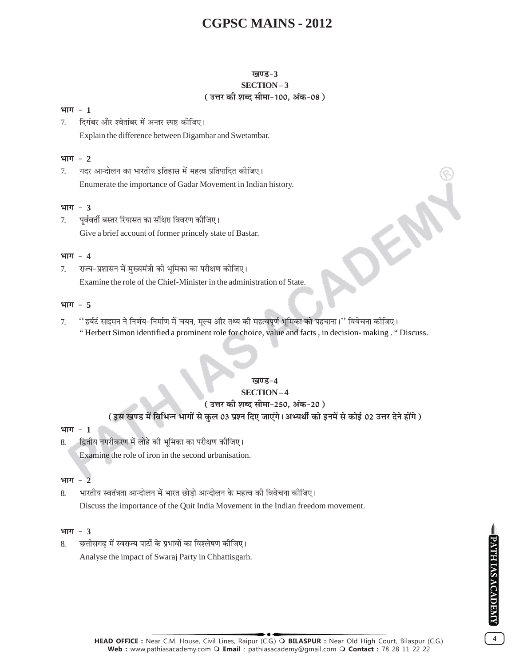#### खण्ड-3 SECTION-3

# (उत्तर की शब्द सीमा-100, अंक-08)

#### भाग  $-1$

दिगंबर और श्वेतांबर में अन्तर स्पष्ट कीजिए।  $7<sub>1</sub>$ Explain the difference between Digambar and Swetambar.

#### भाग  $-2$

गदर आन्दोलन का भारतीय इतिहास में महत्व प्रतिपादित कीजिए।  $7.$ Enumerate the importance of Gadar Movement in Indian history.

#### भाग  $-3$

पूर्ववर्ती बस्तर रियासत का संक्षिप्त विवरण कीजिए।  $7<sub>1</sub>$ Give a brief account of former princely state of Bastar.

#### भाग  $-4$

राज्य-प्रशासन में मुख्यमंत्री की भूमिका का परीक्षण कीजिए। 7. Examine the role of the Chief-Minister in the administration of State.

#### भाग  $-5$

''हर्बर्ट साइमन ने निर्णय–निर्माण में चयन, मूल्य और तथ्य की महत्वपूर्ण भूमिका को पहचाना।'' विवेचना कीजिए।  $7<sub>1</sub>$ "Herbert Simon identified a prominent role for choice, value and facts, in decision-making. "Discuss.

#### खण्ड−4

# **SECTION-4**

#### ( उत्तर की शब्द सीमा-250. अंक-20 )

# ( इस खण्ड में विभिन्न भागों से कुल 03 प्रश्न दिए जाएंगे। अभ्यर्थी को इनमें से कोई 02 उत्तर देने होंगे )

#### भाग $-1$

8.

- द्वितीय नगरीकरण में लोहे की भूमिका का परीक्षण कीजिए।
	- Examine the role of iron in the second urbanisation.

#### भाग  $-2$

भारतीय स्वतंत्रता आन्दोलन में भारत छोड़ो आन्दोलन के महत्व की विवेचना कोजिए। 8. Discuss the importance of the Quit India Movement in the Indian freedom movement.

#### भाग  $-3$

छत्तीसगढ में स्वराज्य पार्टी के प्रभावों का विश्लेषण कीजिए।  $\mathcal{R}$ Analyse the impact of Swaraj Party in Chhattisgarh.

 $\overline{\mathbf{4}}$